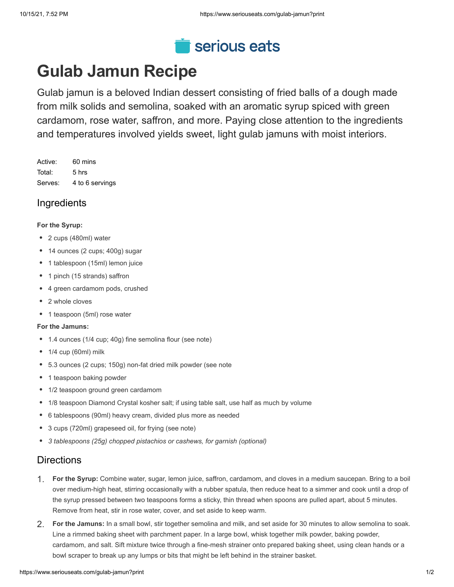

# **Gulab Jamun Recipe**

Gulab jamun is a beloved Indian dessert consisting of fried balls of a dough made from milk solids and semolina, soaked with an aromatic syrup spiced with green cardamom, rose water, saffron, and more. Paying close attention to the ingredients and temperatures involved yields sweet, light gulab jamuns with moist interiors.

Active: 60 mins Total: 5 hrs Serves: 4 to 6 servings

# **Ingredients**

#### **For the Syrup:**

- 2 cups (480ml) water
- 14 ounces (2 cups; 400g) sugar
- 1 tablespoon (15ml) lemon juice
- 1 pinch (15 strands) saffron
- 4 green cardamom pods, crushed
- 2 whole cloves
- 1 teaspoon (5ml) rose water

#### **For the Jamuns:**

- 1.4 ounces (1/4 cup; 40g) fine semolina flour (see note)
- 1/4 cup (60ml) milk
- 5.3 ounces (2 cups; 150g) non-fat dried milk powder (see note
- 1 teaspoon baking powder
- 1/2 teaspoon ground green cardamom
- 1/8 teaspoon Diamond Crystal kosher salt; if using table salt, use half as much by volume
- 6 tablespoons (90ml) heavy cream, divided plus more as needed
- 3 cups (720ml) grapeseed oil, for frying (see note)
- *● 3 tablespoons (25g) chopped pistachios or cashews, for garnish (optional)*

# **Directions**

- **For the Syrup:** Combine water, sugar, lemon juice, saffron, cardamom, and cloves in a medium saucepan. Bring to a boil over medium-high heat, stirring occasionally with a rubber spatula, then reduce heat to a simmer and cook until a drop of the syrup pressed between two teaspoons forms a sticky, thin thread when spoons are pulled apart, about 5 minutes. Remove from heat, stir in rose water, cover, and set aside to keep warm. 1.
- **For the Jamuns:** In a small bowl, stir together semolina and milk, and set aside for 30 minutes to allow semolina to soak. Line a rimmed baking sheet with parchment paper. In a large bowl, whisk together milk powder, baking powder, cardamom, and salt. Sift mixture twice through a fine-mesh strainer onto prepared baking sheet, using clean hands or a bowl scraper to break up any lumps or bits that might be left behind in the strainer basket. 2.